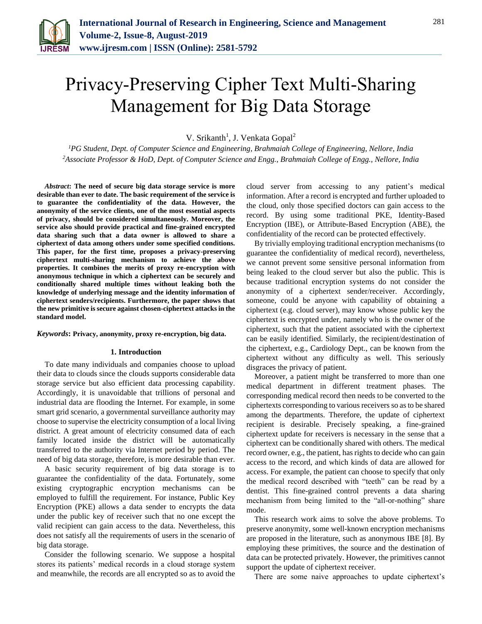

# Privacy-Preserving Cipher Text Multi-Sharing Management for Big Data Storage

V. Srikanth<sup>1</sup>, J. Venkata Gopal<sup>2</sup>

*<sup>1</sup>PG Student, Dept. of Computer Science and Engineering, Brahmaiah College of Engineering, Nellore, India <sup>2</sup>Associate Professor & HoD, Dept. of Computer Science and Engg., Brahmaiah College of Engg., Nellore, India*

*Abstract***: The need of secure big data storage service is more desirable than ever to date. The basic requirement of the service is to guarantee the confidentiality of the data. However, the anonymity of the service clients, one of the most essential aspects of privacy, should be considered simultaneously. Moreover, the service also should provide practical and fine-grained encrypted data sharing such that a data owner is allowed to share a ciphertext of data among others under some specified conditions. This paper, for the first time, proposes a privacy-preserving ciphertext multi-sharing mechanism to achieve the above properties. It combines the merits of proxy re-encryption with anonymous technique in which a ciphertext can be securely and conditionally shared multiple times without leaking both the knowledge of underlying message and the identity information of ciphertext senders/recipients. Furthermore, the paper shows that the new primitive is secure against chosen-ciphertext attacks in the standard model.**

*Keywords***: Privacy, anonymity, proxy re-encryption, big data.**

#### **1. Introduction**

To date many individuals and companies choose to upload their data to clouds since the clouds supports considerable data storage service but also efficient data processing capability. Accordingly, it is unavoidable that trillions of personal and industrial data are flooding the Internet. For example, in some smart grid scenario, a governmental surveillance authority may choose to supervise the electricity consumption of a local living district. A great amount of electricity consumed data of each family located inside the district will be automatically transferred to the authority via Internet period by period. The need of big data storage, therefore, is more desirable than ever.

A basic security requirement of big data storage is to guarantee the confidentiality of the data. Fortunately, some existing cryptographic encryption mechanisms can be employed to fulfill the requirement. For instance, Public Key Encryption (PKE) allows a data sender to encrypts the data under the public key of receiver such that no one except the valid recipient can gain access to the data. Nevertheless, this does not satisfy all the requirements of users in the scenario of big data storage.

Consider the following scenario. We suppose a hospital stores its patients' medical records in a cloud storage system and meanwhile, the records are all encrypted so as to avoid the cloud server from accessing to any patient's medical information. After a record is encrypted and further uploaded to the cloud, only those specified doctors can gain access to the record. By using some traditional PKE, Identity-Based Encryption (IBE), or Attribute-Based Encryption (ABE), the confidentiality of the record can be protected effectively.

By trivially employing traditional encryption mechanisms (to guarantee the confidentiality of medical record), nevertheless, we cannot prevent some sensitive personal information from being leaked to the cloud server but also the public. This is because traditional encryption systems do not consider the anonymity of a ciphertext sender/receiver. Accordingly, someone, could be anyone with capability of obtaining a ciphertext (e.g. cloud server), may know whose public key the ciphertext is encrypted under, namely who is the owner of the ciphertext, such that the patient associated with the ciphertext can be easily identified. Similarly, the recipient/destination of the ciphertext, e.g., Cardiology Dept., can be known from the ciphertext without any difficulty as well. This seriously disgraces the privacy of patient.

Moreover, a patient might be transferred to more than one medical department in different treatment phases. The corresponding medical record then needs to be converted to the ciphertexts corresponding to various receivers so as to be shared among the departments. Therefore, the update of ciphertext recipient is desirable. Precisely speaking, a fine-grained ciphertext update for receivers is necessary in the sense that a ciphertext can be conditionally shared with others. The medical record owner, e.g., the patient, has rights to decide who can gain access to the record, and which kinds of data are allowed for access. For example, the patient can choose to specify that only the medical record described with "teeth" can be read by a dentist. This fine-grained control prevents a data sharing mechanism from being limited to the "all-or-nothing" share mode.

This research work aims to solve the above problems. To preserve anonymity, some well-known encryption mechanisms are proposed in the literature, such as anonymous IBE [8]. By employing these primitives, the source and the destination of data can be protected privately. However, the primitives cannot support the update of ciphertext receiver.

There are some naive approaches to update ciphertext's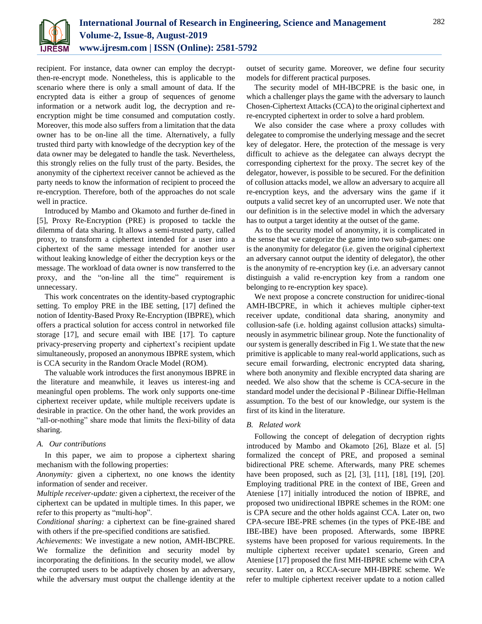

recipient. For instance, data owner can employ the decryptthen-re-encrypt mode. Nonetheless, this is applicable to the scenario where there is only a small amount of data. If the encrypted data is either a group of sequences of genome information or a network audit log, the decryption and reencryption might be time consumed and computation costly. Moreover, this mode also suffers from a limitation that the data owner has to be on-line all the time. Alternatively, a fully trusted third party with knowledge of the decryption key of the data owner may be delegated to handle the task. Nevertheless, this strongly relies on the fully trust of the party. Besides, the anonymity of the ciphertext receiver cannot be achieved as the party needs to know the information of recipient to proceed the re-encryption. Therefore, both of the approaches do not scale well in practice.

Introduced by Mambo and Okamoto and further de-fined in [5], Proxy Re-Encryption (PRE) is proposed to tackle the dilemma of data sharing. It allows a semi-trusted party, called proxy, to transform a ciphertext intended for a user into a ciphertext of the same message intended for another user without leaking knowledge of either the decryption keys or the message. The workload of data owner is now transferred to the proxy, and the "on-line all the time" requirement is unnecessary.

This work concentrates on the identity-based cryptographic setting. To employ PRE in the IBE setting, [17] defined the notion of Identity-Based Proxy Re-Encryption (IBPRE), which offers a practical solution for access control in networked file storage [17], and secure email with IBE [17]. To capture privacy-preserving property and ciphertext's recipient update simultaneously, proposed an anonymous IBPRE system, which is CCA security in the Random Oracle Model (ROM).

The valuable work introduces the first anonymous IBPRE in the literature and meanwhile, it leaves us interest-ing and meaningful open problems. The work only supports one-time ciphertext receiver update, while multiple receivers update is desirable in practice. On the other hand, the work provides an "all-or-nothing" share mode that limits the flexi-bility of data sharing.

### *A. Our contributions*

In this paper, we aim to propose a ciphertext sharing mechanism with the following properties:

*Anonymity:* given a ciphertext, no one knows the identity information of sender and receiver.

*Multiple receiver-update:* given a ciphertext, the receiver of the ciphertext can be updated in multiple times. In this paper, we refer to this property as "multi-hop".

*Conditional sharing:* a ciphertext can be fine-grained shared with others if the pre-specified conditions are satisfied.

*Achievements*: We investigate a new notion, AMH-IBCPRE. We formalize the definition and security model by incorporating the definitions. In the security model, we allow the corrupted users to be adaptively chosen by an adversary, while the adversary must output the challenge identity at the outset of security game. Moreover, we define four security models for different practical purposes.

The security model of MH-IBCPRE is the basic one, in which a challenger plays the game with the adversary to launch Chosen-Ciphertext Attacks (CCA) to the original ciphertext and re-encrypted ciphertext in order to solve a hard problem.

We also consider the case where a proxy colludes with delegatee to compromise the underlying message and the secret key of delegator. Here, the protection of the message is very difficult to achieve as the delegatee can always decrypt the corresponding ciphertext for the proxy. The secret key of the delegator, however, is possible to be secured. For the definition of collusion attacks model, we allow an adversary to acquire all re-encryption keys, and the adversary wins the game if it outputs a valid secret key of an uncorrupted user. We note that our definition is in the selective model in which the adversary has to output a target identity at the outset of the game.

As to the security model of anonymity, it is complicated in the sense that we categorize the game into two sub-games: one is the anonymity for delegator (i.e. given the original ciphertext an adversary cannot output the identity of delegator), the other is the anonymity of re-encryption key (i.e. an adversary cannot distinguish a valid re-encryption key from a random one belonging to re-encryption key space).

We next propose a concrete construction for unidirec-tional AMH-IBCPRE, in which it achieves multiple cipher-text receiver update, conditional data sharing, anonymity and collusion-safe (i.e. holding against collusion attacks) simultaneously in asymmetric bilinear group. Note the functionality of our system is generally described in Fig 1. We state that the new primitive is applicable to many real-world applications, such as secure email forwarding, electronic encrypted data sharing, where both anonymity and flexible encrypted data sharing are needed. We also show that the scheme is CCA-secure in the standard model under the decisional P -Bilinear Diffie-Hellman assumption. To the best of our knowledge, our system is the first of its kind in the literature.

### *B. Related work*

Following the concept of delegation of decryption rights introduced by Mambo and Okamoto [26], Blaze et al. [5] formalized the concept of PRE, and proposed a seminal bidirectional PRE scheme. Afterwards, many PRE schemes have been proposed, such as [2], [3], [11], [18], [19], [20]. Employing traditional PRE in the context of IBE, Green and Ateniese [17] initially introduced the notion of IBPRE, and proposed two unidirectional IBPRE schemes in the ROM: one is CPA secure and the other holds against CCA. Later on, two CPA-secure IBE-PRE schemes (in the types of PKE-IBE and IBE-IBE) have been proposed. Afterwards, some IBPRE systems have been proposed for various requirements. In the multiple ciphertext receiver update1 scenario, Green and Ateniese [17] proposed the first MH-IBPRE scheme with CPA security. Later on, a RCCA-secure MH-IBPRE scheme. We refer to multiple ciphertext receiver update to a notion called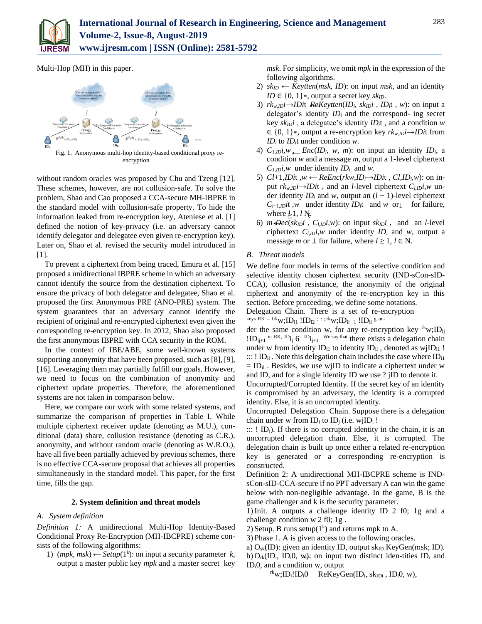

Multi-Hop (MH) in this paper.



encryption

without random oracles was proposed by Chu and Tzeng [12]. These schemes, however, are not collusion-safe. To solve the problem, Shao and Cao proposed a CCA-secure MH-IBPRE in the standard model with collusion-safe property. To hide the information leaked from re-encryption key, Ateniese et al. [1] defined the notion of key-privacy (i.e. an adversary cannot identify delegator and delegatee even given re-encryption key). Later on, Shao et al. revised the security model introduced in [1].

To prevent a ciphertext from being traced, Emura et al. [15] proposed a unidirectional IBPRE scheme in which an adversary cannot identify the source from the destination ciphertext. To ensure the privacy of both delegator and delegatee, Shao et al. proposed the first Anonymous PRE (ANO-PRE) system. The system guarantees that an adversary cannot identify the recipient of original and re-encrypted ciphertext even given the corresponding re-encryption key. In 2012, Shao also proposed the first anonymous IBPRE with CCA security in the ROM.

In the context of IBE/ABE, some well-known systems supporting anonymity that have been proposed, such as [8], [9], [16]. Leveraging them may partially fulfill our goals. However, we need to focus on the combination of anonymity and ciphertext update properties. Therefore, the aforementioned systems are not taken in comparison below.

Here, we compare our work with some related systems, and summarize the comparison of properties in Table I. While multiple ciphertext receiver update (denoting as M.U.), conditional (data) share, collusion resistance (denoting as C.R.), anonymity, and without random oracle (denoting as W.R.O.), have all five been partially achieved by previous schemes, there is no effective CCA-secure proposal that achieves all properties simultaneously in the standard model. This paper, for the first time, fills the gap.

#### **2. System definition and threat models**

#### *A. System definition*

*Definition 1:* A unidirectional Multi-Hop Identity-Based Conditional Proxy Re-Encryption (MH-IBCPRE) scheme consists of the following algorithms:

1) (*mpk*, *msk*) ← *Setup*(1<sup>*k*</sup>): on input a security parameter *k*, output a master public key *mpk* and a master secret key

*msk*. For simplicity, we omit *mpk* in the expression of the following algorithms.

- 2)  $sk_{ID} \leftarrow Keytten(msk, ID)$ : on input *msk*, and an identity *ID* ∈ {0*,* 1}∗, output a secret key *skID*.
- ← 3) *rkw,IDi*→*IDi*t *ReKeytten*(*IDi, skIDi , IDi*t *, w*): on input a delegator's identity *ID<sup>i</sup>* and the correspond- ing secret key *skIDi* , a delegatee's identity *IDi*t , and a condition *w*  ∈ {0*,* 1}∗, output a re-encryption key *rkw,IDi*→*IDi*t from *ID<sup>i</sup>* to *IDi*t under condition *w*.
- 4)  $C_{1,1D}i, w \leftarrow Enc(ID_i, w, m)$ : on input an identity  $ID_i$ , a condition *w* and a message *m*, output a 1-level ciphertext  $C_{1, ID}$ *i,w* under identity  $ID_i$  and *w*.
- where  $\not\geq 1$ , *l* N.  $C_{l+1,1}$ *it*, *w* under identity  $ID_i$ <sup>t</sup> and *w* or  $\bot$  for failure, 5)  $Cl+1, ID$ it *,w*  $\leftarrow$  *ReEnc*(*rkw*,*ID*<sub>*i*</sub> $\rightarrow$ *IDi*t *, Cl,ID*<sub>*i*</sub>,*w*): on input  $rk_{w, ID} \rightarrow ID$ *i*t, and an *l*-level ciphertext  $C_{l, ID} i, w$  under identity  $ID_i$  and *w*, output an  $(l + 1)$ -level ciphertext
- 6)  $m \cdot \text{Dec}(sk_{ID}i, C_{l, ID}i, w)$ : on input  $sk_{ID}i$ , and an *l*-level ciphertext  $C_{l,ID}$ *i,w* under identity  $ID_i$  and *w*, output a message *m* or  $\perp$  for failure, where  $l \geq 1$ ,  $l \in N$ .

#### *B. Threat models*

We define four models in terms of the selective condition and selective identity chosen ciphertext security (IND-sCon-sID-CCA), collusion resistance, the anonymity of the original ciphertext and anonymity of the re-encryption key in this section. Before proceeding, we define some notations. Delegation Chain. There is a set of re-encryption

keys RK = frk $_{\rm W; ID_{i1}}$  !ID $_{\rm i2}$  ; :::; rk $_{\rm W; ID_{i1-1}}$  !ID $_{\rm ii}$  g un-

der the same condition w, for any re-encryption key  $r^k w$ ; ID<sub>ij</sub>  $!ID_{i+1}$  in RK,  $ID_{i}$   $6 = ID_{i+1}$ . We say that there exists a delegation chain under w from identity  $ID_{i1}$  to identity  $ID_{i1}$ , denoted as wjI $D_{i1}$ !  $::: I.D<sub>i</sub>$ . Note this delegation chain includes the case where  $ID<sub>i1</sub>$  $=$  ID<sub>il</sub>. Besides, we use wjID to indicate a ciphertext under w and ID, and for a single identity ID we use ? jID to denote it.

Uncorrupted/Corrupted Identity. If the secret key of an identity is compromised by an adversary, the identity is a corrupted identity. Else, it is an uncorrupted identity.

Uncorrupted Delegation Chain. Suppose there is a delegation chain under w from  $ID_i$  to  $ID_i$  (i.e. wj $ID_i$ !

 $::: I$  ID<sub>i</sub>). If there is no corrupted identity in the chain, it is an uncorrupted delegation chain. Else, it is corrupted. The delegation chain is built up once either a related re-encryption key is generated or a corresponding re-encryption is constructed.

Definition 2: A unidirectional MH-IBCPRE scheme is INDsCon-sID-CCA-secure if no PPT adversary A can win the game below with non-negligible advantage. In the game, B is the game challenger and k is the security parameter.

1) Init. A outputs a challenge identity ID 2 f0; 1g and a challenge condition w 2 f0; 1g .

2) Setup. B runs setup $(1^k)$  and returns mpk to A.

- 3) Phase 1. A is given access to the following oracles.
- b)  $O_{rk}(ID_i, ID_i0, w)$ : on input two distinct iden-tities  $ID_i$  and a)  $O_{sk}(ID)$ : given an identity ID, output sk<sub>ID</sub> KeyGen(msk; ID).  $ID_i$ , and a condition w, output
	- $r^k$ w;ID<sub>i</sub>!ID<sub>i</sub>0 ReKeyGen(ID<sub>i</sub>, sk<sub>IDi</sub>, ID<sub>i</sub>0, w),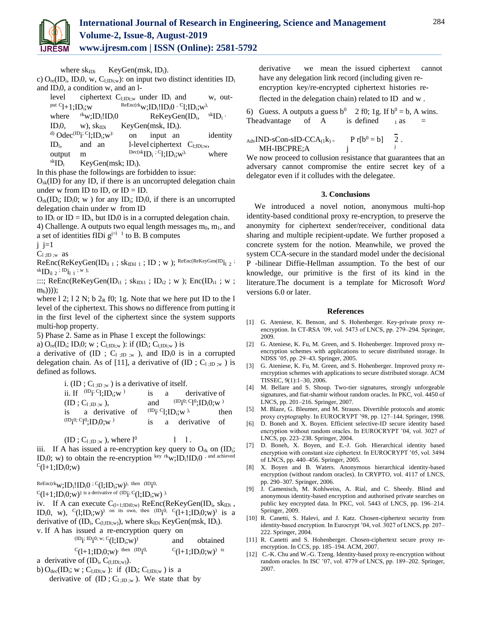

where  $sk_{\text{IDi}}$  KeyGen(msk, ID<sub>i</sub>).

c)  $O_{\text{re}}(ID_i, ID_i, O, w, C_{l:IDi:w})$ : on input two distinct identities ID<sub>i</sub> and IDi0, a condition w, and an l-

| level                                   |                                                                           | ciphertext $C_{1;1Di;w}$ under ID <sub>i</sub> and             | w, out-                                              |
|-----------------------------------------|---------------------------------------------------------------------------|----------------------------------------------------------------|------------------------------------------------------|
| <sup>put C</sup> l+1;ID <sub>i</sub> ;w |                                                                           | $\text{ReEnc}(\text{rk}_{W}; ID_i! ID_i 0 \cdot C_1; ID_i; w)$ |                                                      |
| where                                   | $\mathrm{rk}_{\mathrm{W}}$ ; ID <sub>i</sub> !ID <sub>i</sub> 0           | $ReKeyGen(ID_i,$                                               | $\mathrm{~}^{\mathrm{sk}}\mathrm{ID}_{\mathrm{i}}$ , |
| $IDi0$ .                                | $w)$ , $sk_{IDi}$                                                         | KeyGen $(msk, IDi)$ .                                          |                                                      |
|                                         | <sup>d)</sup> Odec <sup>(ID</sup> i <sup>; C</sup> l;ID <sub>i</sub> ;w): | input an<br>on                                                 | identity                                             |
| $ID_i$                                  | and an                                                                    | l-level ciphertext $C_{l;IDi;w}$ ,                             |                                                      |
| output                                  | m                                                                         | $Dec(skID_i; C1; ID_i; w)$                                     | where                                                |
| ${}^{\rm sk}$ ID <sub>i</sub>           | KeyGen $(msk; IDi)$ .                                                     |                                                                |                                                      |
|                                         |                                                                           | $\alpha$ and $\alpha$ and $\alpha$                             |                                                      |

In this phase the followings are forbidden to issue:

 $O_{sk}(ID)$  for any ID, if there is an uncorrupted delegation chain under w from ID to ID, or  $ID = ID$ .

 $O_{rk}(ID_i; ID_i0; w)$  for any  $ID_i; ID_i0$ , if there is an uncorrupted delegation chain under w from ID

to  $ID_i$  or  $ID = ID_i$ , but  $ID_i0$  is in a corrupted delegation chain.

4) Challenge. A outputs two equal length messages  $m_0$ ,  $m_1$ , and a set of identities fIDi  $g^{j=1}$  to B. B computes

 $i$  i=1

 $C_{1;ID;w}$  as

 $\text{ReEnc}(\text{ReKeyGen}(\text{ID}_{i1 \ 1} \ ; \ sk_{IDil \ 1} \ ; \ \text{ID} \ ; \ w \ )$ ;  $\text{ReEnc}(\text{ReKeyGen}(\text{ID}_{i1 \ 2} \ ;$  ${}^{\rm sk}$ ID<sub>il 2</sub> ; <sup>ID</sup>i<sub>l 1</sub> ; w );

:::;  $ReEnc(ReKeyGen(ID_{i1} ; sk_{IDi1} ; ID_{i2} ; w) ; Enc(ID_{i1} ; w ;$ mb))));

where 1 2; 1 2 N; b  $2_R$  f0; 1g. Note that we here put ID to the 1 level of the ciphertext. This shows no difference from putting it in the first level of the ciphertext since the system supports multi-hop property.

5) Phase 2. Same as in Phase 1 except the followings:

a)  $O_{re}(ID_i; ID_i0; w; C_{l; IDi; w})$ : if  $(ID_i; C_{l; IDi; w})$  is

a derivative of (ID ;  $C_{1}$ ;  $D$ ;  $w$ ), and ID<sub>i</sub> $0$  is in a corrupted delegation chain. As of [11], a derivative of (ID ;  $C_{1;\text{ID};w}$  ) is defined as follows.

> i. (ID ;  $C_{1;\text{ID};w}$ ) is a derivative of itself. ii. If  $^{(\text{ID}_i; C_l; ID_i; w)}$ is a derivative of  $(ID ; C_{1;ID;w}),$  and <sup>0; C</sup>l<sup>0</sup>;ID<sub>i</sub>0;w  $^{\rm 0}$ is a derivative of  $^{(ID_i; C_l; ID_i; w)},$  then

 $^{\text{\tiny{(ID)}}\text{i}^{\text{\tiny{(O)}}; \text{C}} \text{1}^{\text{\tiny{(O)}}};\text{ID}_\text{i} \text{O};\text{w}}$ is a derivative of

 $(ID; C_{1;ID;w})$ , where  $l^0$  $1 \quad 1$ .

iii. If A has issued a re-encryption key query to  $O_{rk}$  on (ID<sub>i</sub>; ID<sub>i</sub>O; w) to obtain the re-encryption key rkw; ID<sub>i</sub>!ID<sub>i</sub>O, and achieved  $c_{(l+1;ID_i0;w)}$ 

 $\text{ReEnc}(\text{rk}_{\mathrm{\textbf{W}}};\text{ID}_\text{i}!\text{ID}_\text{i}0;\text{C}(\text{l};\text{ID}_\text{i};\text{w}))$ , then  $(\text{ID}_\text{i}^{\text{0}},$ 

 $\mathrm{C_{(l+1;ID_i0;w)}}$  is a derivative of (ID $\mathrm{i; C_{(l;ID_i;w)}}$  ).

iv. If A can execute C<sub>(1+1;Di0;w)</sub> ReEnc(ReKeyGen(ID<sub>i</sub>, sk<sub>IDi</sub>, ID<sub>i</sub>0, w), <sup>C</sup>(1;ID<sub>i</sub>;w)<sup>)</sup> on its own, then  $(D_1^0, C_{1+1}^1; D_1^0; w)$  is a derivative of  $(ID_i, C_{(l;IDi;w)})$ , where sk<sub>IDi</sub> KeyGen(msk, ID<sub>i</sub>). v. If A has issued a re-encryption query on

 $^{(ID}$ i; ID<sub>i</sub>,w; C<sub>(1;ID<sub>i</sub>,w)<sup>)</sup></sub> and obtained

 ${}^{\mathrm{C}}$ (1+1;ID<sub>i</sub>0;w)<sup>, then (ID</sup>i <sup>0,</sup>  $C(1+1; ID<sub>i</sub>O; w)$ <sup>is</sup>

a derivative of  $(ID_i, C_{(l;IDi;w)}).$ 

b)  $O_{\text{dec}}(ID_i; w; C_{l;IDi; w})$ : if  $(ID_i; C_{l;IDi; w})$  is a

derivative of  $(ID; C_{1;ID;w})$ . We state that by

derivative we mean the issued ciphertext cannot have any delegation link record (including given reencryption key/re-encrypted ciphertext histories re-

flected in the delegation chain) related to ID and w .

6) Guess. A outputs a guess  $b^0$  2 f0; 1g. If  $b^0 = b$ , A wins. The advantage of A is defined  $_1$  as =

$$
AdvAdvIND-SCon-sID-CCA(1k)= P r[b0 = b] MH-IBCPRE; A j
$$

We now proceed to collusion resistance that guarantees that an adversary cannot compromise the entire secret key of a delegator even if it colludes with the delegatee.

#### **3. Conclusions**

We introduced a novel notion, anonymous multi-hop identity-based conditional proxy re-encryption, to preserve the anonymity for ciphertext sender/receiver, conditional data sharing and multiple recipient-update. We further proposed a concrete system for the notion. Meanwhile, we proved the system CCA-secure in the standard model under the decisional P -bilinear Diffie-Hellman assumption. To the best of our knowledge, our primitive is the first of its kind in the literature.The document is a template for Microsoft *Word* versions 6.0 or later.

#### **References**

- [1] G. Ateniese, K. Benson, and S. Hohenberger. Key-private proxy reencryption. In CT-RSA '09, vol. 5473 of LNCS, pp. 279–294. Springer, 2009.
- [2] G. Ateniese, K. Fu, M. Green, and S. Hohenberger. Improved proxy reencryption schemes with applications to secure distributed storage. In NDSS '05, pp. 29–43. Springer, 2005.
- [3] G. Ateniese, K. Fu, M. Green, and S. Hohenberger. Improved proxy reencryption schemes with applications to secure distributed storage. ACM TISSEC, 9(1):1–30, 2006.
- [4] M. Bellare and S. Shoup. Two-tier signatures, strongly unforgeable signatures, and fiat-shamir without random oracles. In PKC, vol. 4450 of LNCS, pp. 201–216. Springer, 2007.
- [5] M. Blaze, G. Bleumer, and M. Strauss. Divertible protocols and atomic proxy cryptography. In EUROCRYPT '98, pp. 127–144. Springer, 1998.
- [6] D. Boneh and X. Boyen. Efficient selective-ID secure identity based encryption without random oracles. In EUROCRYPT '04, vol. 3027 of LNCS, pp. 223–238. Springer, 2004.
- [7] D. Boneh, X. Boyen, and E.-J. Goh. Hierarchical identity based encryption with constant size ciphertext. In EUROCRYPT '05, vol. 3494 of LNCS, pp. 440–456. Springer, 2005.
- [8] X. Boyen and B. Waters. Anonymous hierarchical identity-based encryption (without random oracles). In CRYPTO, vol. 4117 of LNCS, pp. 290–307. Springer, 2006.
- [9] J. Camenisch, M. Kohlweiss, A. Rial, and C. Sheedy. Blind and anonymous identity-based encryption and authorised private searches on public key encrypted data. In PKC, vol. 5443 of LNCS, pp. 196–214. Springer, 2009.
- [10] R. Canetti, S. Halevi, and J. Katz. Chosen-ciphertext security from identity-based encryption. In Eurocrypt '04, vol. 3027 of LNCS, pp. 207– 222. Springer, 2004.
- [11] R. Canetti and S. Hohenberger. Chosen-ciphertext secure proxy reencryption. In CCS, pp. 185–194. ACM, 2007.
- [12] C.-K. Chu and W.-G. Tzeng. Identity-based proxy re-encryption without random oracles. In ISC '07, vol. 4779 of LNCS, pp. 189–202. Springer, 2007.